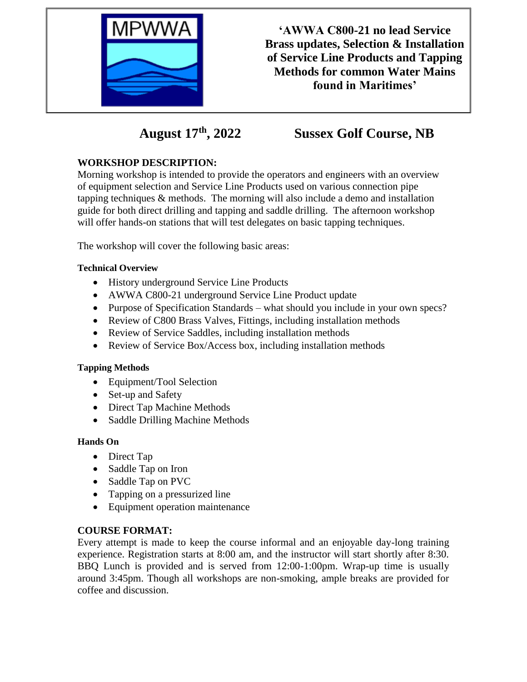

**'AWWA C800-21 no lead Service Brass updates, Selection & Installation of Service Line Products and Tapping Methods for common Water Mains found in Maritimes'**

**August 17th, 2022 Sussex Golf Course, NB**

# **WORKSHOP DESCRIPTION:**

Morning workshop is intended to provide the operators and engineers with an overview of equipment selection and Service Line Products used on various connection pipe tapping techniques & methods. The morning will also include a demo and installation guide for both direct drilling and tapping and saddle drilling. The afternoon workshop will offer hands-on stations that will test delegates on basic tapping techniques.

The workshop will cover the following basic areas:

## **Technical Overview**

- History underground Service Line Products
- AWWA C800-21 underground Service Line Product update
- Purpose of Specification Standards what should you include in your own specs?
- Review of C800 Brass Valves, Fittings, including installation methods
- Review of Service Saddles, including installation methods
- Review of Service Box/Access box, including installation methods

#### **Tapping Methods**

- Equipment/Tool Selection
- Set-up and Safety
- Direct Tap Machine Methods
- Saddle Drilling Machine Methods

#### **Hands On**

- Direct Tap
- Saddle Tap on Iron
- Saddle Tap on PVC
- Tapping on a pressurized line
- Equipment operation maintenance

# **COURSE FORMAT:**

Every attempt is made to keep the course informal and an enjoyable day-long training experience. Registration starts at 8:00 am, and the instructor will start shortly after 8:30. BBQ Lunch is provided and is served from 12:00-1:00pm. Wrap-up time is usually around 3:45pm. Though all workshops are non-smoking, ample breaks are provided for coffee and discussion.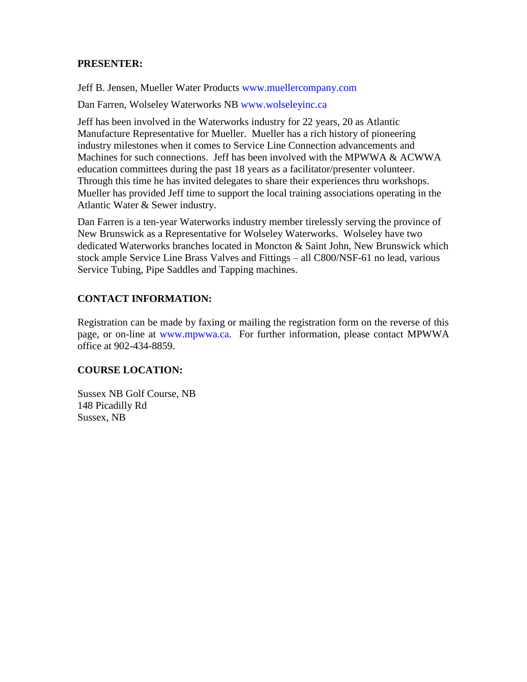#### **PRESENTER:**

Jeff B. Jensen, Mueller Water Products [www.muellercompany.com](http://www.muellercompany.com/)

Dan Farren, Wolseley Waterworks NB [www.wolseleyinc.ca](http://www.wolseleyinc.ca/)

Jeff has been involved in the Waterworks industry for 22 years, 20 as Atlantic Manufacture Representative for Mueller. Mueller has a rich history of pioneering industry milestones when it comes to Service Line Connection advancements and Machines for such connections. Jeff has been involved with the MPWWA & ACWWA education committees during the past 18 years as a facilitator/presenter volunteer. Through this time he has invited delegates to share their experiences thru workshops. Mueller has provided Jeff time to support the local training associations operating in the Atlantic Water & Sewer industry.

Dan Farren is a ten-year Waterworks industry member tirelessly serving the province of New Brunswick as a Representative for Wolseley Waterworks. Wolseley have two dedicated Waterworks branches located in Moncton & Saint John, New Brunswick which stock ample Service Line Brass Valves and Fittings – all C800/NSF-61 no lead, various Service Tubing, Pipe Saddles and Tapping machines.

## **CONTACT INFORMATION:**

Registration can be made by faxing or mailing the registration form on the reverse of this page, or on-line at [www.mpwwa.ca.](http://www.mpwwa.ca/) For further information, please contact MPWWA office at 902-434-8859.

# **COURSE LOCATION:**

Sussex NB Golf Course, NB 148 Picadilly Rd Sussex, NB